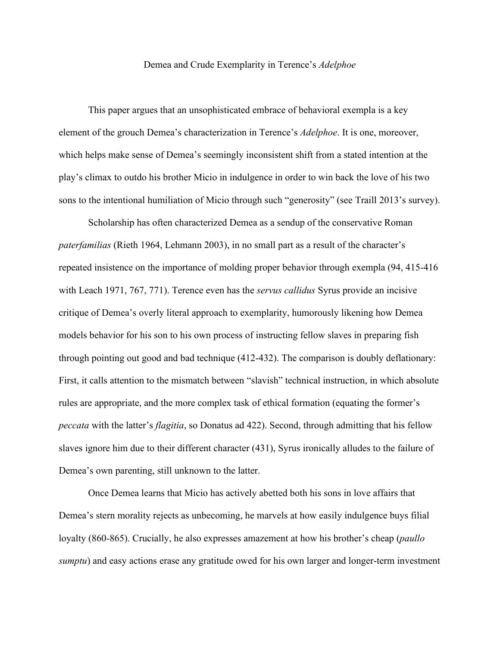## Demea and Crude Exemplarity in Terence's *Adelphoe*

This paper argues that an unsophisticated embrace of behavioral exempla is a key element of the grouch Demea's characterization in Terence's *Adelphoe*. It is one, moreover, which helps make sense of Demea's seemingly inconsistent shift from a stated intention at the play's climax to outdo his brother Micio in indulgence in order to win back the love of his two sons to the intentional humiliation of Micio through such "generosity" (see Traill 2013's survey).

Scholarship has often characterized Demea as a sendup of the conservative Roman *paterfamilias* (Rieth 1964, Lehmann 2003), in no small part as a result of the character's repeated insistence on the importance of molding proper behavior through exempla (94, 415-416 with Leach 1971, 767, 771). Terence even has the *servus callidus* Syrus provide an incisive critique of Demea's overly literal approach to exemplarity, humorously likening how Demea models behavior for his son to his own process of instructing fellow slaves in preparing fish through pointing out good and bad technique (412-432). The comparison is doubly deflationary: First, it calls attention to the mismatch between "slavish" technical instruction, in which absolute rules are appropriate, and the more complex task of ethical formation (equating the former's *peccata* with the latter's *flagitia*, so Donatus ad 422). Second, through admitting that his fellow slaves ignore him due to their different character (431), Syrus ironically alludes to the failure of Demea's own parenting, still unknown to the latter.

Once Demea learns that Micio has actively abetted both his sons in love affairs that Demea's stern morality rejects as unbecoming, he marvels at how easily indulgence buys filial loyalty (860-865). Crucially, he also expresses amazement at how his brother's cheap (*paullo sumptu*) and easy actions erase any gratitude owed for his own larger and longer-term investment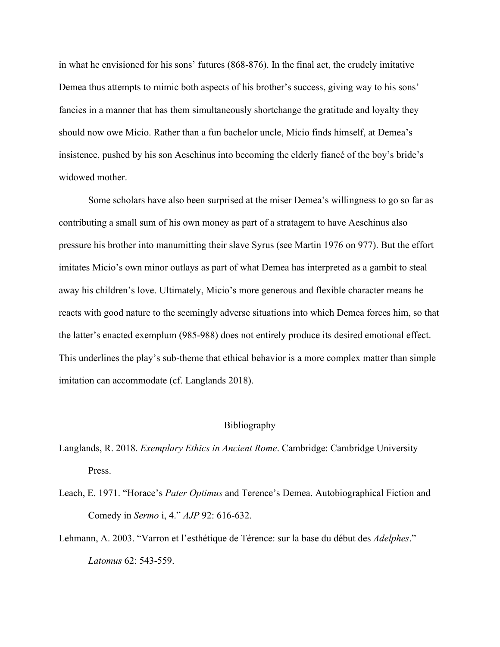in what he envisioned for his sons' futures (868-876). In the final act, the crudely imitative Demea thus attempts to mimic both aspects of his brother's success, giving way to his sons' fancies in a manner that has them simultaneously shortchange the gratitude and loyalty they should now owe Micio. Rather than a fun bachelor uncle, Micio finds himself, at Demea's insistence, pushed by his son Aeschinus into becoming the elderly fiancé of the boy's bride's widowed mother.

Some scholars have also been surprised at the miser Demea's willingness to go so far as contributing a small sum of his own money as part of a stratagem to have Aeschinus also pressure his brother into manumitting their slave Syrus (see Martin 1976 on 977). But the effort imitates Micio's own minor outlays as part of what Demea has interpreted as a gambit to steal away his children's love. Ultimately, Micio's more generous and flexible character means he reacts with good nature to the seemingly adverse situations into which Demea forces him, so that the latter's enacted exemplum (985-988) does not entirely produce its desired emotional effect. This underlines the play's sub-theme that ethical behavior is a more complex matter than simple imitation can accommodate (cf. Langlands 2018).

## Bibliography

- Langlands, R. 2018. *Exemplary Ethics in Ancient Rome*. Cambridge: Cambridge University Press.
- Leach, E. 1971. "Horace's *Pater Optimus* and Terence's Demea. Autobiographical Fiction and Comedy in *Sermo* i, 4." *AJP* 92: 616-632.
- Lehmann, A. 2003. "Varron et l'esthétique de Térence: sur la base du début des *Adelphes*." *Latomus* 62: 543-559.